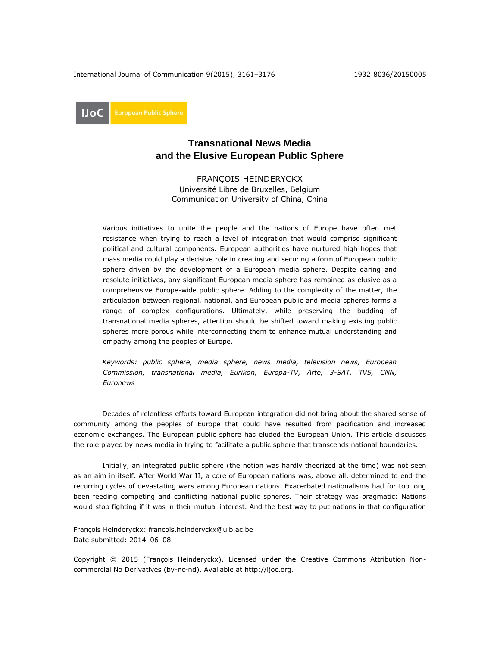International Journal of Communication 9(2015), 3161-3176 1932-8036/20150005

**UoC** 

# **Transnational News Media and the Elusive European Public Sphere**

FRANÇOIS HEINDERYCKX Université Libre de Bruxelles, Belgium Communication University of China, China

Various initiatives to unite the people and the nations of Europe have often met resistance when trying to reach a level of integration that would comprise significant political and cultural components. European authorities have nurtured high hopes that mass media could play a decisive role in creating and securing a form of European public sphere driven by the development of a European media sphere. Despite daring and resolute initiatives, any significant European media sphere has remained as elusive as a comprehensive Europe-wide public sphere. Adding to the complexity of the matter, the articulation between regional, national, and European public and media spheres forms a range of complex configurations. Ultimately, while preserving the budding of transnational media spheres, attention should be shifted toward making existing public spheres more porous while interconnecting them to enhance mutual understanding and empathy among the peoples of Europe.

*Keywords: public sphere, media sphere, news media, television news, European Commission, transnational media, Eurikon, Europa-TV, Arte, 3-SAT, TV5, CNN, Euronews*

Decades of relentless efforts toward European integration did not bring about the shared sense of community among the peoples of Europe that could have resulted from pacification and increased economic exchanges. The European public sphere has eluded the European Union. This article discusses the role played by news media in trying to facilitate a public sphere that transcends national boundaries.

Initially, an integrated public sphere (the notion was hardly theorized at the time) was not seen as an aim in itself. After World War II, a core of European nations was, above all, determined to end the recurring cycles of devastating wars among European nations. Exacerbated nationalisms had for too long been feeding competing and conflicting national public spheres. Their strategy was pragmatic: Nations would stop fighting if it was in their mutual interest. And the best way to put nations in that configuration

 $\overline{a}$ 

Copyright © 2015 (François Heinderyckx). Licensed under the Creative Commons Attribution Noncommercial No Derivatives (by-nc-nd). Available at [http://ijoc.org.](http://ijoc.org/)

François Heinderyckx: francois.heinderyckx@ulb.ac.be Date submitted: 2014–06–08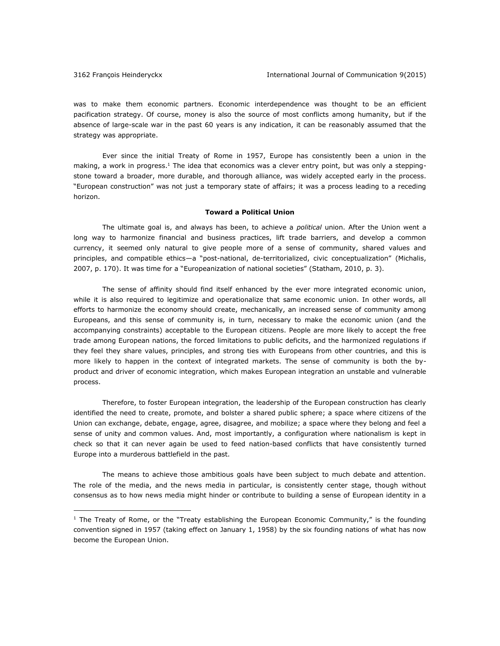$\overline{a}$ 

was to make them economic partners. Economic interdependence was thought to be an efficient pacification strategy. Of course, money is also the source of most conflicts among humanity, but if the absence of large-scale war in the past 60 years is any indication, it can be reasonably assumed that the strategy was appropriate.

Ever since the initial Treaty of Rome in 1957, Europe has consistently been a union in the making, a work in progress.<sup>1</sup> The idea that economics was a clever entry point, but was only a steppingstone toward a broader, more durable, and thorough alliance, was widely accepted early in the process. "European construction" was not just a temporary state of affairs; it was a process leading to a receding horizon.

### **Toward a Political Union**

The ultimate goal is, and always has been, to achieve a *political* union. After the Union went a long way to harmonize financial and business practices, lift trade barriers, and develop a common currency, it seemed only natural to give people more of a sense of community, shared values and principles, and compatible ethics—a "post-national, de-territorialized, civic conceptualization" (Michalis, 2007, p. 170). It was time for a "Europeanization of national societies" (Statham, 2010, p. 3).

The sense of affinity should find itself enhanced by the ever more integrated economic union, while it is also required to legitimize and operationalize that same economic union. In other words, all efforts to harmonize the economy should create, mechanically, an increased sense of community among Europeans, and this sense of community is, in turn, necessary to make the economic union (and the accompanying constraints) acceptable to the European citizens. People are more likely to accept the free trade among European nations, the forced limitations to public deficits, and the harmonized regulations if they feel they share values, principles, and strong ties with Europeans from other countries, and this is more likely to happen in the context of integrated markets. The sense of community is both the byproduct and driver of economic integration, which makes European integration an unstable and vulnerable process.

Therefore, to foster European integration, the leadership of the European construction has clearly identified the need to create, promote, and bolster a shared public sphere; a space where citizens of the Union can exchange, debate, engage, agree, disagree, and mobilize; a space where they belong and feel a sense of unity and common values. And, most importantly, a configuration where nationalism is kept in check so that it can never again be used to feed nation-based conflicts that have consistently turned Europe into a murderous battlefield in the past.

The means to achieve those ambitious goals have been subject to much debate and attention. The role of the media, and the news media in particular, is consistently center stage, though without consensus as to how news media might hinder or contribute to building a sense of European identity in a

 $<sup>1</sup>$  The Treaty of Rome, or the "Treaty establishing the European Economic Community," is the founding</sup> convention signed in 1957 (taking effect on January 1, 1958) by the six founding nations of what has now become the European Union.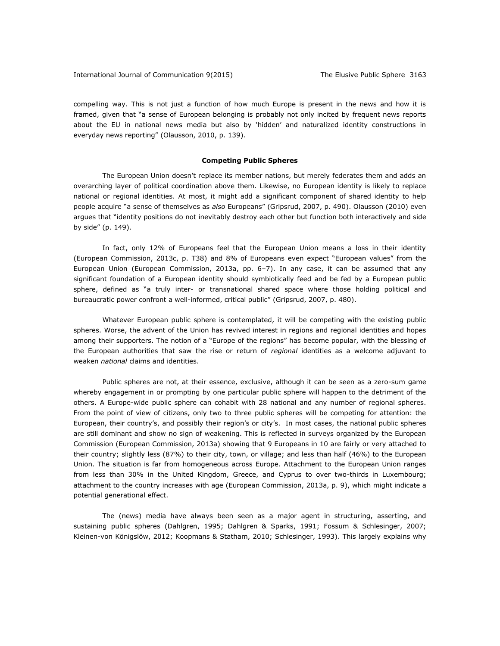compelling way. This is not just a function of how much Europe is present in the news and how it is framed, given that "a sense of European belonging is probably not only incited by frequent news reports about the EU in national news media but also by 'hidden' and naturalized identity constructions in everyday news reporting" (Olausson, 2010, p. 139).

## **Competing Public Spheres**

The European Union doesn't replace its member nations, but merely federates them and adds an overarching layer of political coordination above them. Likewise, no European identity is likely to replace national or regional identities. At most, it might add a significant component of shared identity to help people acquire "a sense of themselves as *also* Europeans" (Gripsrud, 2007, p. 490). Olausson (2010) even argues that "identity positions do not inevitably destroy each other but function both interactively and side by side" (p. 149).

In fact, only 12% of Europeans feel that the European Union means a loss in their identity (European Commission, 2013c, p. T38) and 8% of Europeans even expect "European values" from the European Union (European Commission, 2013a, pp. 6–7). In any case, it can be assumed that any significant foundation of a European identity should symbiotically feed and be fed by a European public sphere, defined as "a truly inter- or transnational shared space where those holding political and bureaucratic power confront a well-informed, critical public" (Gripsrud, 2007, p. 480).

Whatever European public sphere is contemplated, it will be competing with the existing public spheres. Worse, the advent of the Union has revived interest in regions and regional identities and hopes among their supporters. The notion of a "Europe of the regions" has become popular, with the blessing of the European authorities that saw the rise or return of *regional* identities as a welcome adjuvant to weaken *national* claims and identities.

Public spheres are not, at their essence, exclusive, although it can be seen as a zero-sum game whereby engagement in or prompting by one particular public sphere will happen to the detriment of the others. A Europe-wide public sphere can cohabit with 28 national and any number of regional spheres. From the point of view of citizens, only two to three public spheres will be competing for attention: the European, their country's, and possibly their region's or city's. In most cases, the national public spheres are still dominant and show no sign of weakening. This is reflected in surveys organized by the European Commission (European Commission, 2013a) showing that 9 Europeans in 10 are fairly or very attached to their country; slightly less (87%) to their city, town, or village; and less than half (46%) to the European Union. The situation is far from homogeneous across Europe. Attachment to the European Union ranges from less than 30% in the United Kingdom, Greece, and Cyprus to over two-thirds in Luxembourg; attachment to the country increases with age (European Commission, 2013a, p. 9), which might indicate a potential generational effect.

The (news) media have always been seen as a major agent in structuring, asserting, and sustaining public spheres (Dahlgren, 1995; Dahlgren & Sparks, 1991; Fossum & Schlesinger, 2007; Kleinen-von Königslöw, 2012; Koopmans & Statham, 2010; Schlesinger, 1993). This largely explains why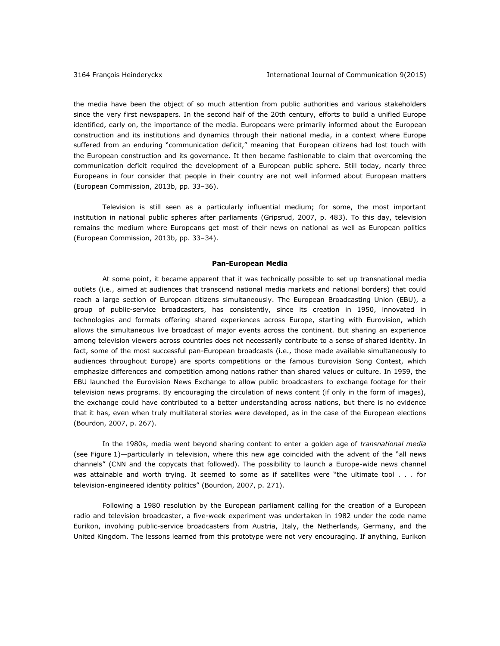the media have been the object of so much attention from public authorities and various stakeholders since the very first newspapers. In the second half of the 20th century, efforts to build a unified Europe identified, early on, the importance of the media. Europeans were primarily informed about the European construction and its institutions and dynamics through their national media, in a context where Europe suffered from an enduring "communication deficit," meaning that European citizens had lost touch with the European construction and its governance. It then became fashionable to claim that overcoming the communication deficit required the development of a European public sphere. Still today, nearly three Europeans in four consider that people in their country are not well informed about European matters (European Commission, 2013b, pp. 33–36).

Television is still seen as a particularly influential medium; for some, the most important institution in national public spheres after parliaments (Gripsrud, 2007, p. 483). To this day, television remains the medium where Europeans get most of their news on national as well as European politics (European Commission, 2013b, pp. 33–34).

#### **Pan-European Media**

At some point, it became apparent that it was technically possible to set up transnational media outlets (i.e., aimed at audiences that transcend national media markets and national borders) that could reach a large section of European citizens simultaneously. The European Broadcasting Union (EBU), a group of public-service broadcasters, has consistently, since its creation in 1950, innovated in technologies and formats offering shared experiences across Europe, starting with Eurovision, which allows the simultaneous live broadcast of major events across the continent. But sharing an experience among television viewers across countries does not necessarily contribute to a sense of shared identity. In fact, some of the most successful pan-European broadcasts (i.e., those made available simultaneously to audiences throughout Europe) are sports competitions or the famous Eurovision Song Contest, which emphasize differences and competition among nations rather than shared values or culture. In 1959, the EBU launched the Eurovision News Exchange to allow public broadcasters to exchange footage for their television news programs. By encouraging the circulation of news content (if only in the form of images), the exchange could have contributed to a better understanding across nations, but there is no evidence that it has, even when truly multilateral stories were developed, as in the case of the European elections (Bourdon, 2007, p. 267).

In the 1980s, media went beyond sharing content to enter a golden age of *transnational media* (see Figure 1)—particularly in television, where this new age coincided with the advent of the "all news channels" (CNN and the copycats that followed). The possibility to launch a Europe-wide news channel was attainable and worth trying. It seemed to some as if satellites were "the ultimate tool . . . for television-engineered identity politics" (Bourdon, 2007, p. 271).

Following a 1980 resolution by the European parliament calling for the creation of a European radio and television broadcaster, a five-week experiment was undertaken in 1982 under the code name Eurikon, involving public-service broadcasters from Austria, Italy, the Netherlands, Germany, and the United Kingdom. The lessons learned from this prototype were not very encouraging. If anything, Eurikon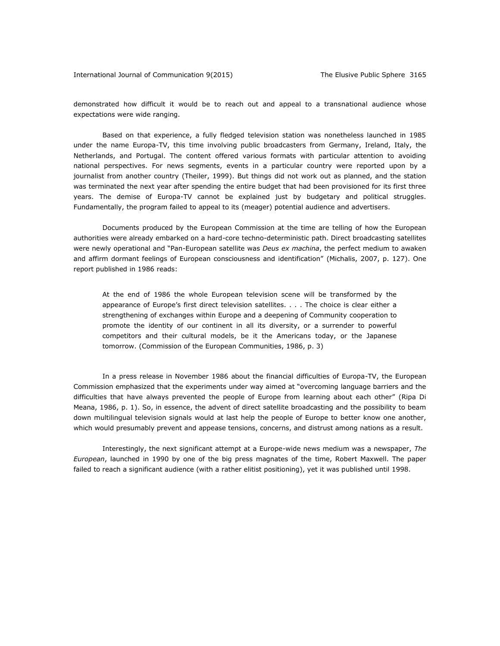demonstrated how difficult it would be to reach out and appeal to a transnational audience whose expectations were wide ranging.

Based on that experience, a fully fledged television station was nonetheless launched in 1985 under the name Europa-TV, this time involving public broadcasters from Germany, Ireland, Italy, the Netherlands, and Portugal. The content offered various formats with particular attention to avoiding national perspectives. For news segments, events in a particular country were reported upon by a journalist from another country (Theiler, 1999). But things did not work out as planned, and the station was terminated the next year after spending the entire budget that had been provisioned for its first three years. The demise of Europa-TV cannot be explained just by budgetary and political struggles. Fundamentally, the program failed to appeal to its (meager) potential audience and advertisers.

Documents produced by the European Commission at the time are telling of how the European authorities were already embarked on a hard-core techno-deterministic path. Direct broadcasting satellites were newly operational and "Pan-European satellite was *Deus ex machina*, the perfect medium to awaken and affirm dormant feelings of European consciousness and identification" (Michalis, 2007, p. 127). One report published in 1986 reads:

At the end of 1986 the whole European television scene will be transformed by the appearance of Europe's first direct television satellites. . . . The choice is clear either a strengthening of exchanges within Europe and a deepening of Community cooperation to promote the identity of our continent in all its diversity, or a surrender to powerful competitors and their cultural models, be it the Americans today, or the Japanese tomorrow. (Commission of the European Communities, 1986, p. 3)

In a press release in November 1986 about the financial difficulties of Europa-TV, the European Commission emphasized that the experiments under way aimed at "overcoming language barriers and the difficulties that have always prevented the people of Europe from learning about each other" (Ripa Di Meana, 1986, p. 1). So, in essence, the advent of direct satellite broadcasting and the possibility to beam down multilingual television signals would at last help the people of Europe to better know one another, which would presumably prevent and appease tensions, concerns, and distrust among nations as a result.

Interestingly, the next significant attempt at a Europe-wide news medium was a newspaper, *The European*, launched in 1990 by one of the big press magnates of the time, Robert Maxwell. The paper failed to reach a significant audience (with a rather elitist positioning), yet it was published until 1998.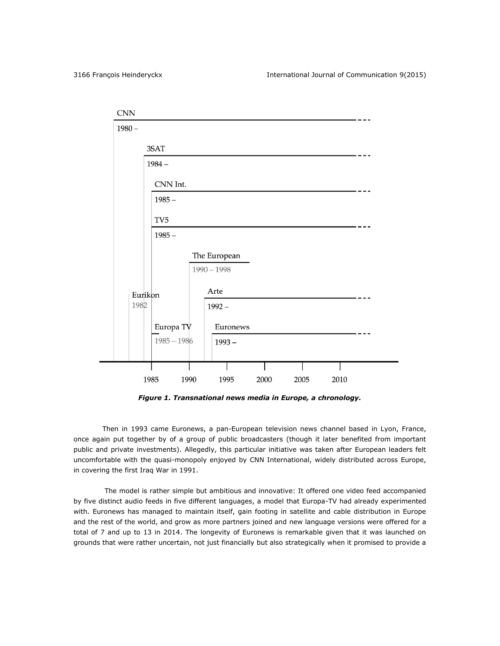| CNN             |                 |                               |      |      |      |  |
|-----------------|-----------------|-------------------------------|------|------|------|--|
| $1980 -$        |                 |                               |      |      |      |  |
|                 | 3SAT            |                               |      |      |      |  |
|                 | $1984 -$        |                               |      |      |      |  |
|                 | CNN Int.        |                               |      |      |      |  |
|                 | $1985 -$        |                               |      |      |      |  |
|                 | TV <sub>5</sub> |                               |      |      |      |  |
|                 | $1985 -$        |                               |      |      |      |  |
|                 |                 | The European<br>$1990 - 1998$ |      |      |      |  |
| Eurikon<br>1982 |                 | Arte<br>$1992 -$              |      |      |      |  |
|                 | Europa TV       | Euronews                      |      |      |      |  |
|                 | $1985 - 1986$   | $1993 -$                      |      |      |      |  |
|                 |                 |                               |      |      |      |  |
|                 | 1985<br>1990    | 1995                          | 2000 | 2005 | 2010 |  |

*Figure 1. Transnational news media in Europe, a chronology.*

Then in 1993 came Euronews, a pan-European television news channel based in Lyon, France, once again put together by of a group of public broadcasters (though it later benefited from important public and private investments). Allegedly, this particular initiative was taken after European leaders felt uncomfortable with the quasi-monopoly enjoyed by CNN International, widely distributed across Europe, in covering the first Iraq War in 1991.

The model is rather simple but ambitious and innovative: It offered one video feed accompanied by five distinct audio feeds in five different languages, a model that Europa-TV had already experimented with. Euronews has managed to maintain itself, gain footing in satellite and cable distribution in Europe and the rest of the world, and grow as more partners joined and new language versions were offered for a total of 7 and up to 13 in 2014. The longevity of Euronews is remarkable given that it was launched on grounds that were rather uncertain, not just financially but also strategically when it promised to provide a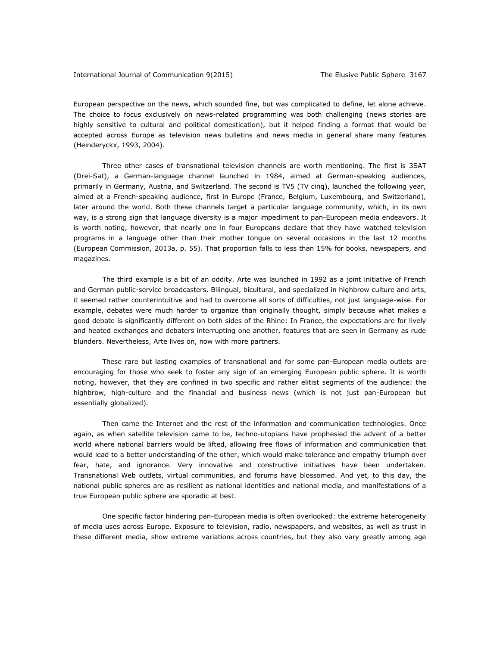European perspective on the news, which sounded fine, but was complicated to define, let alone achieve. The choice to focus exclusively on news-related programming was both challenging (news stories are highly sensitive to cultural and political domestication), but it helped finding a format that would be accepted across Europe as television news bulletins and news media in general share many features (Heinderyckx, 1993, 2004).

Three other cases of transnational television channels are worth mentioning. The first is 3SAT (Drei-Sat), a German-language channel launched in 1984, aimed at German-speaking audiences, primarily in Germany, Austria, and Switzerland. The second is TV5 (TV cinq), launched the following year, aimed at a French-speaking audience, first in Europe (France, Belgium, Luxembourg, and Switzerland), later around the world. Both these channels target a particular language community, which, in its own way, is a strong sign that language diversity is a major impediment to pan-European media endeavors. It is worth noting, however, that nearly one in four Europeans declare that they have watched television programs in a language other than their mother tongue on several occasions in the last 12 months (European Commission, 2013a, p. 55). That proportion falls to less than 15% for books, newspapers, and magazines.

The third example is a bit of an oddity. Arte was launched in 1992 as a joint initiative of French and German public-service broadcasters. Bilingual, bicultural, and specialized in highbrow culture and arts, it seemed rather counterintuitive and had to overcome all sorts of difficulties, not just language-wise. For example, debates were much harder to organize than originally thought, simply because what makes a good debate is significantly different on both sides of the Rhine: In France, the expectations are for lively and heated exchanges and debaters interrupting one another, features that are seen in Germany as rude blunders. Nevertheless, Arte lives on, now with more partners.

These rare but lasting examples of transnational and for some pan-European media outlets are encouraging for those who seek to foster any sign of an emerging European public sphere. It is worth noting, however, that they are confined in two specific and rather elitist segments of the audience: the highbrow, high-culture and the financial and business news (which is not just pan-European but essentially globalized).

Then came the Internet and the rest of the information and communication technologies. Once again, as when satellite television came to be, techno-utopians have prophesied the advent of a better world where national barriers would be lifted, allowing free flows of information and communication that would lead to a better understanding of the other, which would make tolerance and empathy triumph over fear, hate, and ignorance. Very innovative and constructive initiatives have been undertaken. Transnational Web outlets, virtual communities, and forums have blossomed. And yet, to this day, the national public spheres are as resilient as national identities and national media, and manifestations of a true European public sphere are sporadic at best.

One specific factor hindering pan-European media is often overlooked: the extreme heterogeneity of media uses across Europe. Exposure to television, radio, newspapers, and websites, as well as trust in these different media, show extreme variations across countries, but they also vary greatly among age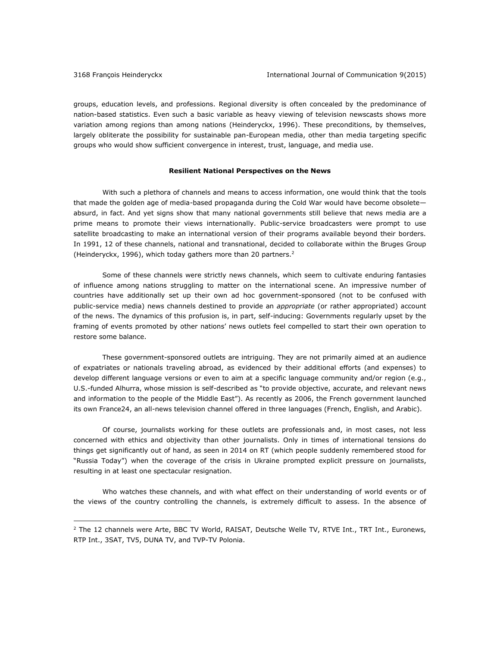$\overline{a}$ 

groups, education levels, and professions. Regional diversity is often concealed by the predominance of nation-based statistics. Even such a basic variable as heavy viewing of television newscasts shows more variation among regions than among nations (Heinderyckx, 1996). These preconditions, by themselves, largely obliterate the possibility for sustainable pan-European media, other than media targeting specific groups who would show sufficient convergence in interest, trust, language, and media use.

## **Resilient National Perspectives on the News**

With such a plethora of channels and means to access information, one would think that the tools that made the golden age of media-based propaganda during the Cold War would have become obsolete absurd, in fact. And yet signs show that many national governments still believe that news media are a prime means to promote their views internationally. Public-service broadcasters were prompt to use satellite broadcasting to make an international version of their programs available beyond their borders. In 1991, 12 of these channels, national and transnational, decided to collaborate within the Bruges Group (Heinderyckx, 1996), which today gathers more than 20 partners.<sup>2</sup>

Some of these channels were strictly news channels, which seem to cultivate enduring fantasies of influence among nations struggling to matter on the international scene. An impressive number of countries have additionally set up their own ad hoc government-sponsored (not to be confused with public-service media) news channels destined to provide an *appropriate* (or rather appropriated) account of the news. The dynamics of this profusion is, in part, self-inducing: Governments regularly upset by the framing of events promoted by other nations' news outlets feel compelled to start their own operation to restore some balance.

These government-sponsored outlets are intriguing. They are not primarily aimed at an audience of expatriates or nationals traveling abroad, as evidenced by their additional efforts (and expenses) to develop different language versions or even to aim at a specific language community and/or region (e.g., U.S.-funded Alhurra, whose mission is self-described as "to provide objective, accurate, and relevant news and information to the people of the Middle East"). As recently as 2006, the French government launched its own France24, an all-news television channel offered in three languages (French, English, and Arabic).

Of course, journalists working for these outlets are professionals and, in most cases, not less concerned with ethics and objectivity than other journalists. Only in times of international tensions do things get significantly out of hand, as seen in 2014 on RT (which people suddenly remembered stood for "Russia Today") when the coverage of the crisis in Ukraine prompted explicit pressure on journalists, resulting in at least one spectacular resignation.

Who watches these channels, and with what effect on their understanding of world events or of the views of the country controlling the channels, is extremely difficult to assess. In the absence of

<sup>&</sup>lt;sup>2</sup> The 12 channels were Arte, BBC TV World, RAISAT, Deutsche Welle TV, RTVE Int., TRT Int., Euronews, RTP Int., 3SAT, TV5, DUNA TV, and TVP-TV Polonia.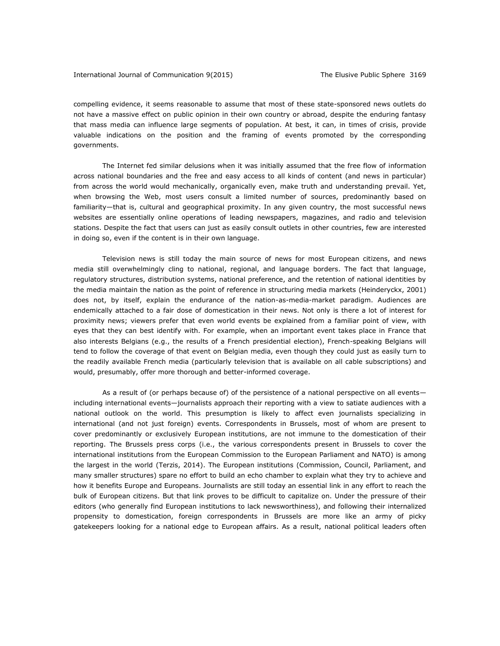compelling evidence, it seems reasonable to assume that most of these state-sponsored news outlets do not have a massive effect on public opinion in their own country or abroad, despite the enduring fantasy that mass media can influence large segments of population. At best, it can, in times of crisis, provide valuable indications on the position and the framing of events promoted by the corresponding governments.

The Internet fed similar delusions when it was initially assumed that the free flow of information across national boundaries and the free and easy access to all kinds of content (and news in particular) from across the world would mechanically, organically even, make truth and understanding prevail. Yet, when browsing the Web, most users consult a limited number of sources, predominantly based on familiarity—that is, cultural and geographical proximity. In any given country, the most successful news websites are essentially online operations of leading newspapers, magazines, and radio and television stations. Despite the fact that users can just as easily consult outlets in other countries, few are interested in doing so, even if the content is in their own language.

Television news is still today the main source of news for most European citizens, and news media still overwhelmingly cling to national, regional, and language borders. The fact that language, regulatory structures, distribution systems, national preference, and the retention of national identities by the media maintain the nation as the point of reference in structuring media markets (Heinderyckx, 2001) does not, by itself, explain the endurance of the nation-as-media-market paradigm. Audiences are endemically attached to a fair dose of domestication in their news. Not only is there a lot of interest for proximity news; viewers prefer that even world events be explained from a familiar point of view, with eyes that they can best identify with. For example, when an important event takes place in France that also interests Belgians (e.g., the results of a French presidential election), French-speaking Belgians will tend to follow the coverage of that event on Belgian media, even though they could just as easily turn to the readily available French media (particularly television that is available on all cable subscriptions) and would, presumably, offer more thorough and better-informed coverage.

As a result of (or perhaps because of) of the persistence of a national perspective on all events including international events—journalists approach their reporting with a view to satiate audiences with a national outlook on the world. This presumption is likely to affect even journalists specializing in international (and not just foreign) events. Correspondents in Brussels, most of whom are present to cover predominantly or exclusively European institutions, are not immune to the domestication of their reporting. The Brussels press corps (i.e., the various correspondents present in Brussels to cover the international institutions from the European Commission to the European Parliament and NATO) is among the largest in the world (Terzis, 2014). The European institutions (Commission, Council, Parliament, and many smaller structures) spare no effort to build an echo chamber to explain what they try to achieve and how it benefits Europe and Europeans. Journalists are still today an essential link in any effort to reach the bulk of European citizens. But that link proves to be difficult to capitalize on. Under the pressure of their editors (who generally find European institutions to lack newsworthiness), and following their internalized propensity to domestication, foreign correspondents in Brussels are more like an army of picky gatekeepers looking for a national edge to European affairs. As a result, national political leaders often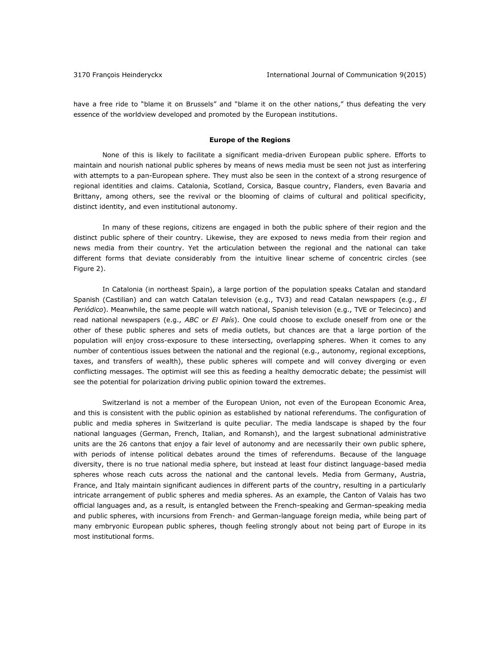have a free ride to "blame it on Brussels" and "blame it on the other nations," thus defeating the very essence of the worldview developed and promoted by the European institutions.

#### **Europe of the Regions**

None of this is likely to facilitate a significant media-driven European public sphere. Efforts to maintain and nourish national public spheres by means of news media must be seen not just as interfering with attempts to a pan-European sphere. They must also be seen in the context of a strong resurgence of regional identities and claims. Catalonia, Scotland, Corsica, Basque country, Flanders, even Bavaria and Brittany, among others, see the revival or the blooming of claims of cultural and political specificity, distinct identity, and even institutional autonomy.

In many of these regions, citizens are engaged in both the public sphere of their region and the distinct public sphere of their country. Likewise, they are exposed to news media from their region and news media from their country. Yet the articulation between the regional and the national can take different forms that deviate considerably from the intuitive linear scheme of concentric circles (see Figure 2).

In Catalonia (in northeast Spain), a large portion of the population speaks Catalan and standard Spanish (Castilian) and can watch Catalan television (e.g., TV3) and read Catalan newspapers (e.g., *El Periódico*). Meanwhile, the same people will watch national, Spanish television (e.g., TVE or Telecinco) and read national newspapers (e.g., *ABC* or *El País*). One could choose to exclude oneself from one or the other of these public spheres and sets of media outlets, but chances are that a large portion of the population will enjoy cross-exposure to these intersecting, overlapping spheres. When it comes to any number of contentious issues between the national and the regional (e.g., autonomy, regional exceptions, taxes, and transfers of wealth), these public spheres will compete and will convey diverging or even conflicting messages. The optimist will see this as feeding a healthy democratic debate; the pessimist will see the potential for polarization driving public opinion toward the extremes.

Switzerland is not a member of the European Union, not even of the European Economic Area, and this is consistent with the public opinion as established by national referendums. The configuration of public and media spheres in Switzerland is quite peculiar. The media landscape is shaped by the four national languages (German, French, Italian, and Romansh), and the largest subnational administrative units are the 26 cantons that enjoy a fair level of autonomy and are necessarily their own public sphere, with periods of intense political debates around the times of referendums. Because of the language diversity, there is no true national media sphere, but instead at least four distinct language-based media spheres whose reach cuts across the national and the cantonal levels. Media from Germany, Austria, France, and Italy maintain significant audiences in different parts of the country, resulting in a particularly intricate arrangement of public spheres and media spheres. As an example, the Canton of Valais has two official languages and, as a result, is entangled between the French-speaking and German-speaking media and public spheres, with incursions from French- and German-language foreign media, while being part of many embryonic European public spheres, though feeling strongly about not being part of Europe in its most institutional forms.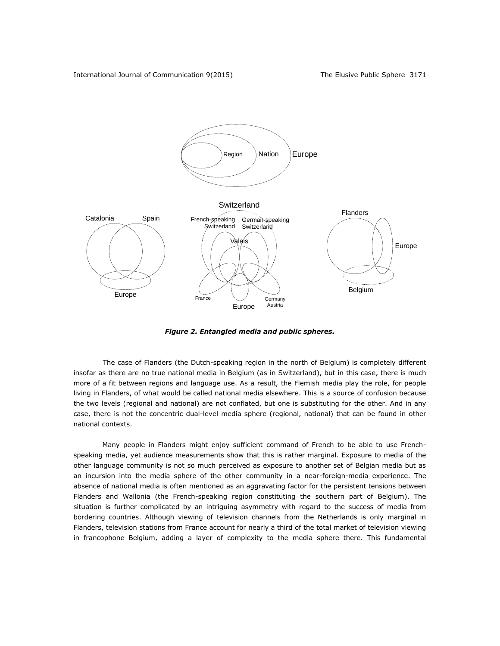

*Figure 2. Entangled media and public spheres.*

The case of Flanders (the Dutch-speaking region in the north of Belgium) is completely different insofar as there are no true national media in Belgium (as in Switzerland), but in this case, there is much more of a fit between regions and language use. As a result, the Flemish media play the role, for people living in Flanders, of what would be called national media elsewhere. This is a source of confusion because the two levels (regional and national) are not conflated, but one is substituting for the other. And in any case, there is not the concentric dual-level media sphere (regional, national) that can be found in other national contexts.

Many people in Flanders might enjoy sufficient command of French to be able to use Frenchspeaking media, yet audience measurements show that this is rather marginal. Exposure to media of the other language community is not so much perceived as exposure to another set of Belgian media but as an incursion into the media sphere of the other community in a near-foreign-media experience. The absence of national media is often mentioned as an aggravating factor for the persistent tensions between Flanders and Wallonia (the French-speaking region constituting the southern part of Belgium). The situation is further complicated by an intriguing asymmetry with regard to the success of media from bordering countries. Although viewing of television channels from the Netherlands is only marginal in Flanders, television stations from France account for nearly a third of the total market of television viewing in francophone Belgium, adding a layer of complexity to the media sphere there. This fundamental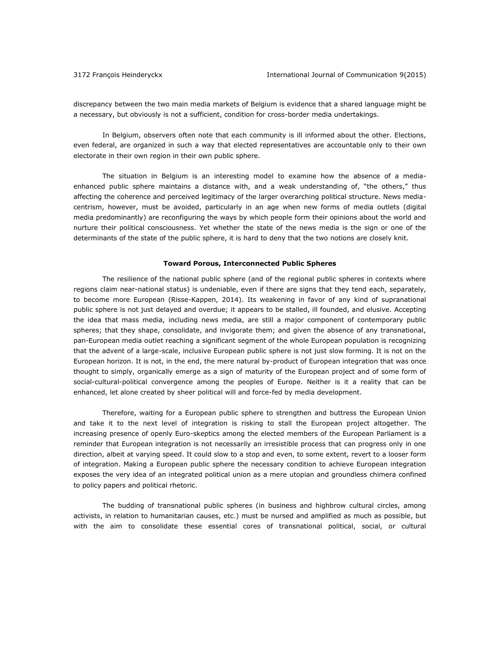discrepancy between the two main media markets of Belgium is evidence that a shared language might be a necessary, but obviously is not a sufficient, condition for cross-border media undertakings.

In Belgium, observers often note that each community is ill informed about the other. Elections, even federal, are organized in such a way that elected representatives are accountable only to their own electorate in their own region in their own public sphere.

The situation in Belgium is an interesting model to examine how the absence of a mediaenhanced public sphere maintains a distance with, and a weak understanding of, "the others," thus affecting the coherence and perceived legitimacy of the larger overarching political structure. News mediacentrism, however, must be avoided, particularly in an age when new forms of media outlets (digital media predominantly) are reconfiguring the ways by which people form their opinions about the world and nurture their political consciousness. Yet whether the state of the news media is the sign or one of the determinants of the state of the public sphere, it is hard to deny that the two notions are closely knit.

#### **Toward Porous, Interconnected Public Spheres**

The resilience of the national public sphere (and of the regional public spheres in contexts where regions claim near-national status) is undeniable, even if there are signs that they tend each, separately, to become more European (Risse-Kappen, 2014). Its weakening in favor of any kind of supranational public sphere is not just delayed and overdue; it appears to be stalled, ill founded, and elusive. Accepting the idea that mass media, including news media, are still a major component of contemporary public spheres; that they shape, consolidate, and invigorate them; and given the absence of any transnational, pan-European media outlet reaching a significant segment of the whole European population is recognizing that the advent of a large-scale, inclusive European public sphere is not just slow forming. It is not on the European horizon. It is not, in the end, the mere natural by-product of European integration that was once thought to simply, organically emerge as a sign of maturity of the European project and of some form of social-cultural-political convergence among the peoples of Europe. Neither is it a reality that can be enhanced, let alone created by sheer political will and force-fed by media development.

Therefore, waiting for a European public sphere to strengthen and buttress the European Union and take it to the next level of integration is risking to stall the European project altogether. The increasing presence of openly Euro-skeptics among the elected members of the European Parliament is a reminder that European integration is not necessarily an irresistible process that can progress only in one direction, albeit at varying speed. It could slow to a stop and even, to some extent, revert to a looser form of integration. Making a European public sphere the necessary condition to achieve European integration exposes the very idea of an integrated political union as a mere utopian and groundless chimera confined to policy papers and political rhetoric.

The budding of transnational public spheres (in business and highbrow cultural circles, among activists, in relation to humanitarian causes, etc.) must be nursed and amplified as much as possible, but with the aim to consolidate these essential cores of transnational political, social, or cultural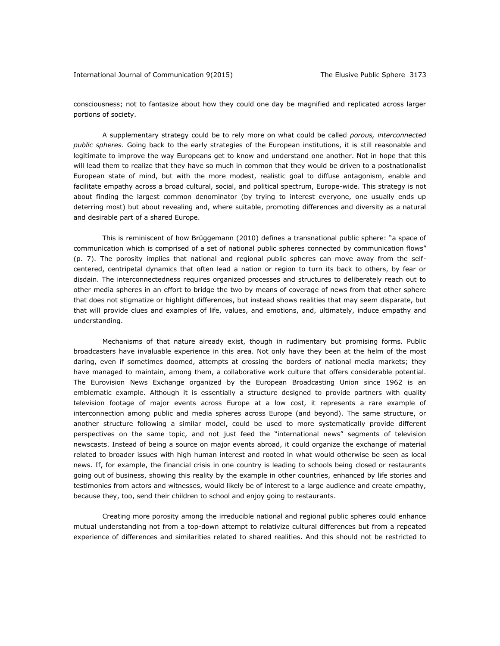consciousness; not to fantasize about how they could one day be magnified and replicated across larger portions of society.

A supplementary strategy could be to rely more on what could be called *porous, interconnected public spheres*. Going back to the early strategies of the European institutions, it is still reasonable and legitimate to improve the way Europeans get to know and understand one another. Not in hope that this will lead them to realize that they have so much in common that they would be driven to a postnationalist European state of mind, but with the more modest, realistic goal to diffuse antagonism, enable and facilitate empathy across a broad cultural, social, and political spectrum, Europe-wide. This strategy is not about finding the largest common denominator (by trying to interest everyone, one usually ends up deterring most) but about revealing and, where suitable, promoting differences and diversity as a natural and desirable part of a shared Europe.

This is reminiscent of how Brüggemann (2010) defines a transnational public sphere: "a space of communication which is comprised of a set of national public spheres connected by communication flows" (p. 7). The porosity implies that national and regional public spheres can move away from the selfcentered, centripetal dynamics that often lead a nation or region to turn its back to others, by fear or disdain. The interconnectedness requires organized processes and structures to deliberately reach out to other media spheres in an effort to bridge the two by means of coverage of news from that other sphere that does not stigmatize or highlight differences, but instead shows realities that may seem disparate, but that will provide clues and examples of life, values, and emotions, and, ultimately, induce empathy and understanding.

Mechanisms of that nature already exist, though in rudimentary but promising forms. Public broadcasters have invaluable experience in this area. Not only have they been at the helm of the most daring, even if sometimes doomed, attempts at crossing the borders of national media markets; they have managed to maintain, among them, a collaborative work culture that offers considerable potential. The Eurovision News Exchange organized by the European Broadcasting Union since 1962 is an emblematic example. Although it is essentially a structure designed to provide partners with quality television footage of major events across Europe at a low cost, it represents a rare example of interconnection among public and media spheres across Europe (and beyond). The same structure, or another structure following a similar model, could be used to more systematically provide different perspectives on the same topic, and not just feed the "international news" segments of television newscasts. Instead of being a source on major events abroad, it could organize the exchange of material related to broader issues with high human interest and rooted in what would otherwise be seen as local news. If, for example, the financial crisis in one country is leading to schools being closed or restaurants going out of business, showing this reality by the example in other countries, enhanced by life stories and testimonies from actors and witnesses, would likely be of interest to a large audience and create empathy, because they, too, send their children to school and enjoy going to restaurants.

Creating more porosity among the irreducible national and regional public spheres could enhance mutual understanding not from a top-down attempt to relativize cultural differences but from a repeated experience of differences and similarities related to shared realities. And this should not be restricted to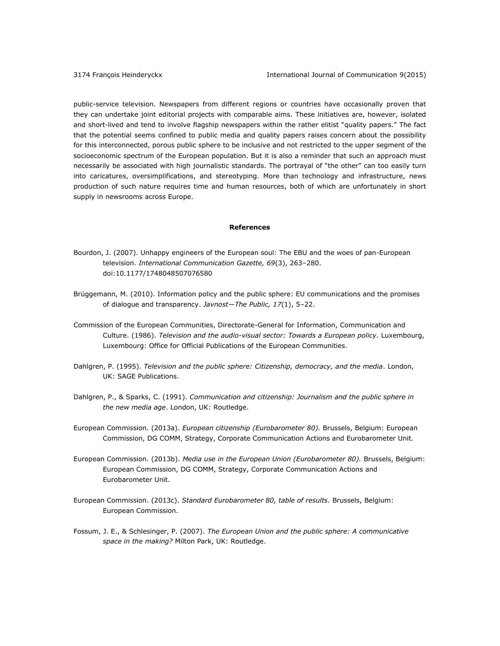public-service television. Newspapers from different regions or countries have occasionally proven that they can undertake joint editorial projects with comparable aims. These initiatives are, however, isolated and short-lived and tend to involve flagship newspapers within the rather elitist "quality papers." The fact that the potential seems confined to public media and quality papers raises concern about the possibility for this interconnected, porous public sphere to be inclusive and not restricted to the upper segment of the socioeconomic spectrum of the European population. But it is also a reminder that such an approach must necessarily be associated with high journalistic standards. The portrayal of "the other" can too easily turn into caricatures, oversimplifications, and stereotyping. More than technology and infrastructure, news production of such nature requires time and human resources, both of which are unfortunately in short supply in newsrooms across Europe.

#### **References**

- Bourdon, J. (2007). Unhappy engineers of the European soul: The EBU and the woes of pan-European television. *International Communication Gazette, 69*(3), 263–280. doi:10.1177/1748048507076580
- Brüggemann, M. (2010). Information policy and the public sphere: EU communications and the promises of dialogue and transparency. *Javnost—The Public, 17*(1), 5–22.
- Commission of the European Communities, Directorate-General for Information, Communication and Culture. (1986). *Television and the audio-visual sector: Towards a European policy*. Luxembourg, Luxembourg: Office for Official Publications of the European Communities.
- Dahlgren, P. (1995). *Television and the public sphere: Citizenship, democracy, and the media*. London, UK: SAGE Publications.
- Dahlgren, P., & Sparks, C. (1991). *Communication and citizenship: Journalism and the public sphere in the new media age*. London, UK: Routledge.
- European Commission. (2013a). *European citizenship (Eurobarometer 80).* Brussels, Belgium: European Commission, DG COMM, Strategy, Corporate Communication Actions and Eurobarometer Unit.
- European Commission. (2013b). *Media use in the European Union (Eurobarometer 80).* Brussels, Belgium: European Commission, DG COMM, Strategy, Corporate Communication Actions and Eurobarometer Unit.
- European Commission. (2013c). *Standard Eurobarometer 80, table of results.* Brussels, Belgium: European Commission.
- Fossum, J. E., & Schlesinger, P. (2007). *The European Union and the public sphere: A communicative space in the making?* Milton Park, UK: Routledge.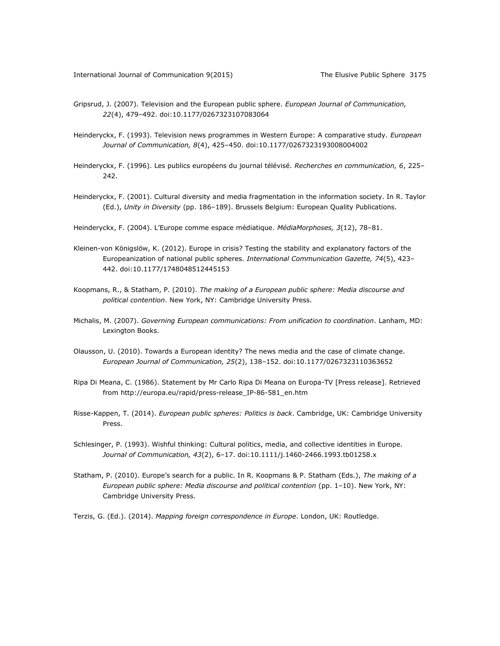- Gripsrud, J. (2007). Television and the European public sphere. *European Journal of Communication, 22*(4), 479–492. doi:10.1177/0267323107083064
- Heinderyckx, F. (1993). Television news programmes in Western Europe: A comparative study. *European Journal of Communication, 8*(4), 425–450. doi:10.1177/0267323193008004002
- Heinderyckx, F. (1996). Les publics européens du journal télévisé. *Recherches en communication, 6*, 225– 242.
- Heinderyckx, F. (2001). Cultural diversity and media fragmentation in the information society. In R. Taylor (Ed.), *Unity in Diversity* (pp. 186–189). Brussels Belgium: European Quality Publications.
- Heinderyckx, F. (2004). L'Europe comme espace médiatique. *MédiaMorphoses, 3*(12), 78–81.
- Kleinen-von Königslöw, K. (2012). Europe in crisis? Testing the stability and explanatory factors of the Europeanization of national public spheres. *International Communication Gazette, 74*(5), 423– 442. doi:10.1177/1748048512445153
- Koopmans, R., & Statham, P. (2010). *The making of a European public sphere: Media discourse and political contention*. New York, NY: Cambridge University Press.
- Michalis, M. (2007). *Governing European communications: From unification to coordination*. Lanham, MD: Lexington Books.
- Olausson, U. (2010). Towards a European identity? The news media and the case of climate change. *European Journal of Communication, 25*(2), 138–152. doi:10.1177/0267323110363652
- Ripa Di Meana, C. (1986). Statement by Mr Carlo Ripa Di Meana on Europa-TV [Press release]. Retrieved from [http://europa.eu/rapid/press-release\\_IP-86-581\\_en.htm](http://europa.eu/rapid/press-release_IP-86-581_en.htm)
- Risse-Kappen, T. (2014). *European public spheres: Politics is back*. Cambridge, UK: Cambridge University Press.
- Schlesinger, P. (1993). Wishful thinking: Cultural politics, media, and collective identities in Europe. *Journal of Communication, 43*(2), 6–17. doi:10.1111/j.1460-2466.1993.tb01258.x
- Statham, P. (2010). Europe's search for a public. In R. Koopmans & P. Statham (Eds.), *The making of a European public sphere: Media discourse and political contention* (pp. 1–10). New York, NY: Cambridge University Press.
- Terzis, G. (Ed.). (2014). *Mapping foreign correspondence in Europe*. London, UK: Routledge.